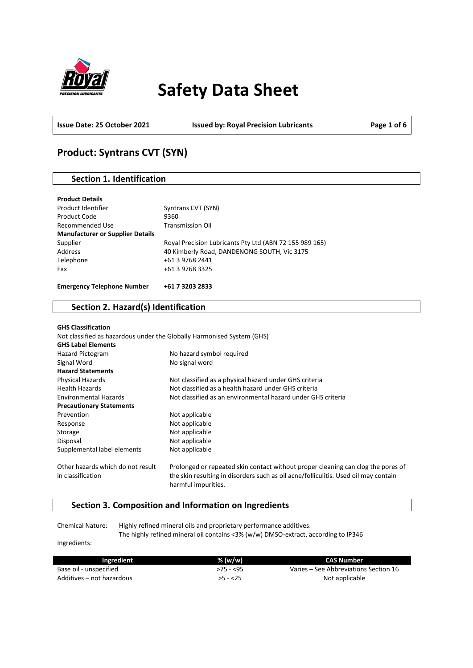

# **Safety Data Sheet**

**Issue Date: 25 October 2021 Issued by: Royal Precision Lubricants Page 1 of 6**

# **Product: Syntrans CVT (SYN)**

# **Section 1. Identification**

| <b>Product Details</b>                  |                                                         |
|-----------------------------------------|---------------------------------------------------------|
| Product Identifier                      | Syntrans CVT (SYN)                                      |
| Product Code                            | 9360                                                    |
| Recommended Use                         | <b>Transmission Oil</b>                                 |
| <b>Manufacturer or Supplier Details</b> |                                                         |
| Supplier                                | Royal Precision Lubricants Pty Ltd (ABN 72 155 989 165) |
| Address                                 | 40 Kimberly Road, DANDENONG SOUTH, Vic 3175             |
| Telephone                               | +61 3 9768 2441                                         |
| Fax                                     | +61 3 9768 3325                                         |
|                                         |                                                         |
| <b>Emergency Telephone Number</b>       | +61 7 3203 2833                                         |

# **Section 2. Hazard(s) Identification**

| <b>GHS Classification</b>         |                                                                                                            |
|-----------------------------------|------------------------------------------------------------------------------------------------------------|
|                                   | Not classified as hazardous under the Globally Harmonised System (GHS)                                     |
| <b>GHS Label Elements</b>         |                                                                                                            |
| Hazard Pictogram                  | No hazard symbol required                                                                                  |
| Signal Word                       | No signal word                                                                                             |
| <b>Hazard Statements</b>          |                                                                                                            |
| Physical Hazards                  | Not classified as a physical hazard under GHS criteria                                                     |
| <b>Health Hazards</b>             | Not classified as a health hazard under GHS criteria                                                       |
| <b>Environmental Hazards</b>      | Not classified as an environmental hazard under GHS criteria                                               |
| <b>Precautionary Statements</b>   |                                                                                                            |
| Prevention                        | Not applicable                                                                                             |
| Response                          | Not applicable                                                                                             |
| Storage                           | Not applicable                                                                                             |
| Disposal                          | Not applicable                                                                                             |
| Supplemental label elements       | Not applicable                                                                                             |
| Other hazards which do not result | Prolonged or repeated skin contact without proper cleaning can clog the pores of                           |
| in classification                 | the skin resulting in disorders such as oil acne/folliculitis. Used oil may contain<br>harmful impurities. |

## **Section 3. Composition and Information on Ingredients**

Chemical Nature: Highly refined mineral oils and proprietary performance additives. The highly refined mineral oil contains <3% (w/w) DMSO-extract, according to IP346

Ingredients:

| Ingredient                | $%$ (w/w)  | CAS Number                            |
|---------------------------|------------|---------------------------------------|
| Base oil - unspecified    | $>75 - 55$ | Varies – See Abbreviations Section 16 |
| Additives – not hazardous | $>5 - 25$  | Not applicable                        |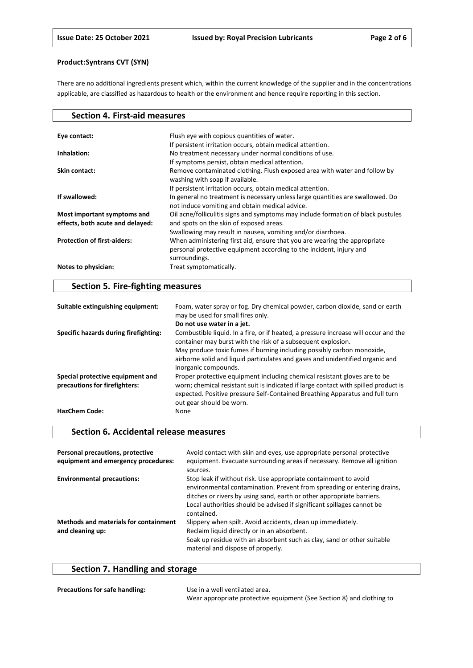There are no additional ingredients present which, within the current knowledge of the supplier and in the concentrations applicable, are classified as hazardous to health or the environment and hence require reporting in this section.

| <b>Section 4. First-aid measures</b>                            |                                                                                                                                                                   |
|-----------------------------------------------------------------|-------------------------------------------------------------------------------------------------------------------------------------------------------------------|
|                                                                 |                                                                                                                                                                   |
| Eye contact:                                                    | Flush eye with copious quantities of water.                                                                                                                       |
|                                                                 | If persistent irritation occurs, obtain medical attention.                                                                                                        |
| Inhalation:                                                     | No treatment necessary under normal conditions of use.                                                                                                            |
|                                                                 | If symptoms persist, obtain medical attention.                                                                                                                    |
| Skin contact:                                                   | Remove contaminated clothing. Flush exposed area with water and follow by<br>washing with soap if available.                                                      |
|                                                                 | If persistent irritation occurs, obtain medical attention.                                                                                                        |
| If swallowed:                                                   | In general no treatment is necessary unless large quantities are swallowed. Do<br>not induce vomiting and obtain medical advice.                                  |
| Most important symptoms and<br>effects, both acute and delayed: | Oil acne/folliculitis signs and symptoms may include formation of black pustules<br>and spots on the skin of exposed areas.                                       |
|                                                                 | Swallowing may result in nausea, vomiting and/or diarrhoea.                                                                                                       |
| <b>Protection of first-aiders:</b>                              | When administering first aid, ensure that you are wearing the appropriate<br>personal protective equipment according to the incident, injury and<br>surroundings. |
| Notes to physician:                                             | Treat symptomatically.                                                                                                                                            |

# **Section 5. Fire-fighting measures**

| Suitable extinguishing equipment:                                 | Foam, water spray or fog. Dry chemical powder, carbon dioxide, sand or earth<br>may be used for small fires only.                                                                                                                                                            |
|-------------------------------------------------------------------|------------------------------------------------------------------------------------------------------------------------------------------------------------------------------------------------------------------------------------------------------------------------------|
|                                                                   | Do not use water in a jet.                                                                                                                                                                                                                                                   |
| Specific hazards during firefighting:                             | Combustible liquid. In a fire, or if heated, a pressure increase will occur and the<br>container may burst with the risk of a subsequent explosion.                                                                                                                          |
|                                                                   | May produce toxic fumes if burning including possibly carbon monoxide,<br>airborne solid and liquid particulates and gases and unidentified organic and<br>inorganic compounds.                                                                                              |
| Special protective equipment and<br>precautions for firefighters: | Proper protective equipment including chemical resistant gloves are to be<br>worn; chemical resistant suit is indicated if large contact with spilled product is<br>expected. Positive pressure Self-Contained Breathing Apparatus and full turn<br>out gear should be worn. |
| <b>HazChem Code:</b>                                              | None                                                                                                                                                                                                                                                                         |

### **Section 6. Accidental release measures**

| Personal precautions, protective<br>equipment and emergency procedures: | Avoid contact with skin and eyes, use appropriate personal protective<br>equipment. Evacuate surrounding areas if necessary. Remove all ignition<br>sources.                                                                                                                                                |
|-------------------------------------------------------------------------|-------------------------------------------------------------------------------------------------------------------------------------------------------------------------------------------------------------------------------------------------------------------------------------------------------------|
| <b>Environmental precautions:</b>                                       | Stop leak if without risk. Use appropriate containment to avoid<br>environmental contamination. Prevent from spreading or entering drains,<br>ditches or rivers by using sand, earth or other appropriate barriers.<br>Local authorities should be advised if significant spillages cannot be<br>contained. |
| <b>Methods and materials for containment</b><br>and cleaning up:        | Slippery when spilt. Avoid accidents, clean up immediately.<br>Reclaim liquid directly or in an absorbent.<br>Soak up residue with an absorbent such as clay, sand or other suitable<br>material and dispose of properly.                                                                                   |

# **Section 7. Handling and storage**

| <b>Precautions for safe handling:</b> | Use in a well ventilated area.                                        |
|---------------------------------------|-----------------------------------------------------------------------|
|                                       | Wear appropriate protective equipment (See Section 8) and clothing to |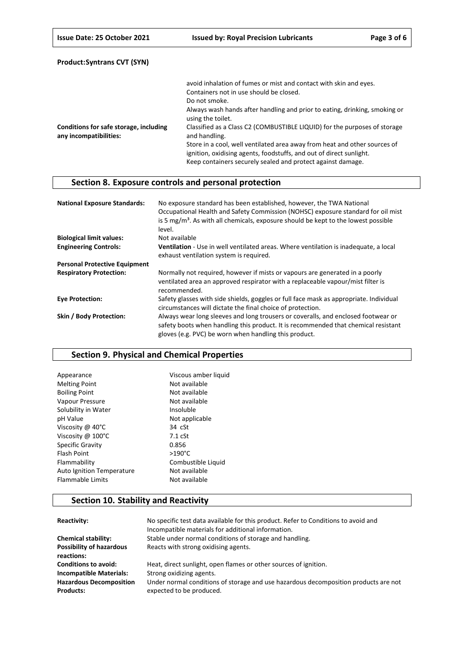|                                                                  | avoid inhalation of fumes or mist and contact with skin and eyes.                                                                                                                                               |
|------------------------------------------------------------------|-----------------------------------------------------------------------------------------------------------------------------------------------------------------------------------------------------------------|
|                                                                  | Containers not in use should be closed.                                                                                                                                                                         |
|                                                                  | Do not smoke.                                                                                                                                                                                                   |
|                                                                  | Always wash hands after handling and prior to eating, drinking, smoking or<br>using the toilet.                                                                                                                 |
| Conditions for safe storage, including<br>any incompatibilities: | Classified as a Class C2 (COMBUSTIBLE LIQUID) for the purposes of storage<br>and handling.                                                                                                                      |
|                                                                  | Store in a cool, well ventilated area away from heat and other sources of<br>ignition, oxidising agents, foodstuffs, and out of direct sunlight.<br>Keep containers securely sealed and protect against damage. |

# **Section 8. Exposure controls and personal protection**

| <b>National Exposure Standards:</b>  | No exposure standard has been established, however, the TWA National<br>Occupational Health and Safety Commission (NOHSC) exposure standard for oil mist<br>is 5 $mg/m3$ . As with all chemicals, exposure should be kept to the lowest possible<br>level. |
|--------------------------------------|------------------------------------------------------------------------------------------------------------------------------------------------------------------------------------------------------------------------------------------------------------|
| <b>Biological limit values:</b>      | Not available                                                                                                                                                                                                                                              |
| <b>Engineering Controls:</b>         | Ventilation - Use in well ventilated areas. Where ventilation is inadequate, a local<br>exhaust ventilation system is required.                                                                                                                            |
| <b>Personal Protective Equipment</b> |                                                                                                                                                                                                                                                            |
| <b>Respiratory Protection:</b>       | Normally not required, however if mists or vapours are generated in a poorly<br>ventilated area an approved respirator with a replaceable vapour/mist filter is<br>recommended.                                                                            |
| <b>Eve Protection:</b>               | Safety glasses with side shields, goggles or full face mask as appropriate. Individual<br>circumstances will dictate the final choice of protection.                                                                                                       |
| Skin / Body Protection:              | Always wear long sleeves and long trousers or coveralls, and enclosed footwear or<br>safety boots when handling this product. It is recommended that chemical resistant<br>gloves (e.g. PVC) be worn when handling this product.                           |

## **Section 9. Physical and Chemical Properties**

| Viscous amber liquid |
|----------------------|
| Not available        |
| Not available        |
| Not available        |
| Insoluble            |
| Not applicable       |
| $34 \text{ cSt}$     |
| $7.1 \text{ cSt}$    |
| 0.856                |
| $>190^{\circ}$ C     |
| Combustible Liquid   |
| Not available        |
| Not available        |
|                      |

# **Section 10. Stability and Reactivity**

| Reactivity:                                        | No specific test data available for this product. Refer to Conditions to avoid and<br>Incompatible materials for additional information. |
|----------------------------------------------------|------------------------------------------------------------------------------------------------------------------------------------------|
| <b>Chemical stability:</b>                         | Stable under normal conditions of storage and handling.                                                                                  |
| <b>Possibility of hazardous</b><br>reactions:      | Reacts with strong oxidising agents.                                                                                                     |
| <b>Conditions to avoid:</b>                        | Heat, direct sunlight, open flames or other sources of ignition.                                                                         |
| <b>Incompatible Materials:</b>                     | Strong oxidizing agents.                                                                                                                 |
| <b>Hazardous Decomposition</b><br><b>Products:</b> | Under normal conditions of storage and use hazardous decomposition products are not<br>expected to be produced.                          |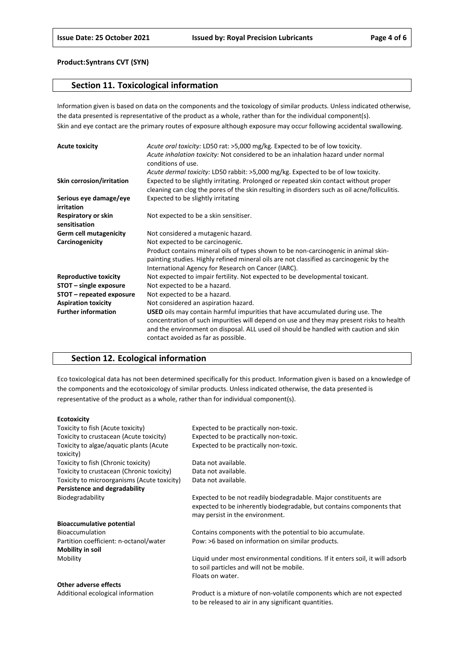### **Section 11. Toxicological information**

Information given is based on data on the components and the toxicology of similar products. Unless indicated otherwise, the data presented is representative of the product as a whole, rather than for the individual component(s). Skin and eye contact are the primary routes of exposure although exposure may occur following accidental swallowing.

| <b>Acute toxicity</b>                | Acute oral toxicity: LD50 rat: >5,000 mg/kg. Expected to be of low toxicity.<br>Acute inhalation toxicity: Not considered to be an inhalation hazard under normal<br>conditions of use.                                                                                                                    |
|--------------------------------------|------------------------------------------------------------------------------------------------------------------------------------------------------------------------------------------------------------------------------------------------------------------------------------------------------------|
|                                      | Acute dermal toxicity: LD50 rabbit: >5,000 mg/kg. Expected to be of low toxicity.                                                                                                                                                                                                                          |
| Skin corrosion/irritation            | Expected to be slightly irritating. Prolonged or repeated skin contact without proper<br>cleaning can clog the pores of the skin resulting in disorders such as oil acne/folliculitis.                                                                                                                     |
| Serious eye damage/eye<br>irritation | Expected to be slightly irritating                                                                                                                                                                                                                                                                         |
| Respiratory or skin<br>sensitisation | Not expected to be a skin sensitiser.                                                                                                                                                                                                                                                                      |
| <b>Germ cell mutagenicity</b>        | Not considered a mutagenic hazard.                                                                                                                                                                                                                                                                         |
| Carcinogenicity                      | Not expected to be carcinogenic.                                                                                                                                                                                                                                                                           |
|                                      | Product contains mineral oils of types shown to be non-carcinogenic in animal skin-                                                                                                                                                                                                                        |
|                                      | painting studies. Highly refined mineral oils are not classified as carcinogenic by the                                                                                                                                                                                                                    |
|                                      | International Agency for Research on Cancer (IARC).                                                                                                                                                                                                                                                        |
| <b>Reproductive toxicity</b>         | Not expected to impair fertility. Not expected to be developmental toxicant.                                                                                                                                                                                                                               |
| STOT - single exposure               | Not expected to be a hazard.                                                                                                                                                                                                                                                                               |
| STOT – repeated exposure             | Not expected to be a hazard.                                                                                                                                                                                                                                                                               |
| <b>Aspiration toxicity</b>           | Not considered an aspiration hazard.                                                                                                                                                                                                                                                                       |
| <b>Further information</b>           | USED oils may contain harmful impurities that have accumulated during use. The<br>concentration of such impurities will depend on use and they may present risks to health<br>and the environment on disposal. ALL used oil should be handled with caution and skin<br>contact avoided as far as possible. |

## **Section 12. Ecological information**

Eco toxicological data has not been determined specifically for this product. Information given is based on a knowledge of the components and the ecotoxicology of similar products. Unless indicated otherwise, the data presented is representative of the product as a whole, rather than for individual component(s).

#### **Ecotoxicity**

| Toxicity to fish (Acute toxicity)           | Expected to be practically non-toxic.                                         |
|---------------------------------------------|-------------------------------------------------------------------------------|
| Toxicity to crustacean (Acute toxicity)     | Expected to be practically non-toxic.                                         |
| Toxicity to algae/aquatic plants (Acute     | Expected to be practically non-toxic.                                         |
| toxicity)                                   |                                                                               |
| Toxicity to fish (Chronic toxicity)         | Data not available.                                                           |
| Toxicity to crustacean (Chronic toxicity)   | Data not available.                                                           |
| Toxicity to microorganisms (Acute toxicity) | Data not available.                                                           |
| Persistence and degradability               |                                                                               |
| Biodegradability                            | Expected to be not readily biodegradable. Major constituents are              |
|                                             | expected to be inherently biodegradable, but contains components that         |
|                                             | may persist in the environment.                                               |
| <b>Bioaccumulative potential</b>            |                                                                               |
| Bioaccumulation                             | Contains components with the potential to bio accumulate.                     |
| Partition coefficient: n-octanol/water      | Pow: >6 based on information on similar products.                             |
| <b>Mobility in soil</b>                     |                                                                               |
| Mobility                                    | Liquid under most environmental conditions. If it enters soil, it will adsorb |
|                                             | to soil particles and will not be mobile.                                     |
|                                             | Floats on water.                                                              |
| Other adverse effects                       |                                                                               |
| Additional ecological information           | Product is a mixture of non-volatile components which are not expected        |

to be released to air in any significant quantities.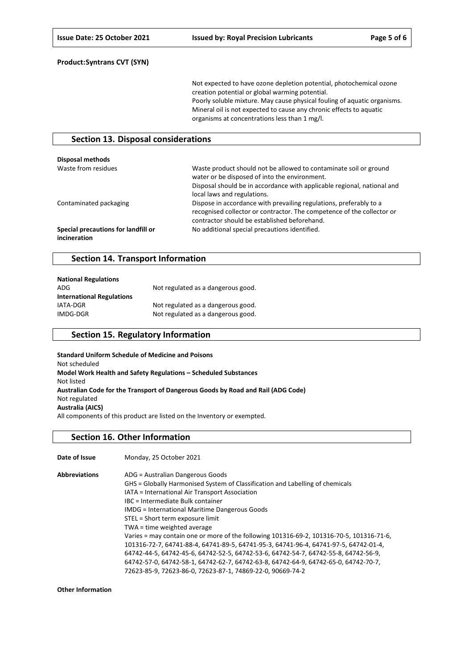Not expected to have ozone depletion potential, photochemical ozone creation potential or global warming potential. Poorly soluble mixture. May cause physical fouling of aquatic organisms. Mineral oil is not expected to cause any chronic effects to aquatic organisms at concentrations less than 1 mg/l.

### **Section 13. Disposal considerations**

| Disposal methods                                    |                                                                                                                                                                                                                              |
|-----------------------------------------------------|------------------------------------------------------------------------------------------------------------------------------------------------------------------------------------------------------------------------------|
| Waste from residues                                 | Waste product should not be allowed to contaminate soil or ground<br>water or be disposed of into the environment.<br>Disposal should be in accordance with applicable regional, national and<br>local laws and regulations. |
| Contaminated packaging                              | Dispose in accordance with prevailing regulations, preferably to a<br>recognised collector or contractor. The competence of the collector or<br>contractor should be established beforehand.                                 |
| Special precautions for landfill or<br>incineration | No additional special precautions identified.                                                                                                                                                                                |

### **Section 14. Transport Information**

| <b>National Regulations</b>      |                                    |
|----------------------------------|------------------------------------|
| ADG                              | Not regulated as a dangerous good. |
| <b>International Regulations</b> |                                    |
| IATA-DGR                         | Not regulated as a dangerous good. |
| IMDG-DGR                         | Not regulated as a dangerous good. |

### **Section 15. Regulatory Information**

**Standard Uniform Schedule of Medicine and Poisons** Not scheduled **Model Work Health and Safety Regulations – Scheduled Substances** Not listed **Australian Code for the Transport of Dangerous Goods by Road and Rail (ADG Code)** Not regulated **Australia (AICS)** All components of this product are listed on the Inventory or exempted.

### **Section 16. Other Information**

| Date of Issue        | Monday, 25 October 2021                                                                  |
|----------------------|------------------------------------------------------------------------------------------|
| <b>Abbreviations</b> | ADG = Australian Dangerous Goods                                                         |
|                      | GHS = Globally Harmonised System of Classification and Labelling of chemicals            |
|                      | IATA = International Air Transport Association                                           |
|                      | IBC = Intermediate Bulk container                                                        |
|                      | <b>IMDG</b> = International Maritime Dangerous Goods                                     |
|                      | STEL = Short term exposure limit                                                         |
|                      | TWA = time weighted average                                                              |
|                      | Varies = may contain one or more of the following 101316-69-2, 101316-70-5, 101316-71-6, |
|                      | 101316-72-7, 64741-88-4, 64741-89-5, 64741-95-3, 64741-96-4, 64741-97-5, 64742-01-4,     |
|                      | 64742-44-5, 64742-45-6, 64742-52-5, 64742-53-6, 64742-54-7, 64742-55-8, 64742-56-9,      |
|                      | 64742-57-0, 64742-58-1, 64742-62-7, 64742-63-8, 64742-64-9, 64742-65-0, 64742-70-7,      |
|                      | 72623-85-9, 72623-86-0, 72623-87-1, 74869-22-0, 90669-74-2                               |

**Other Information**